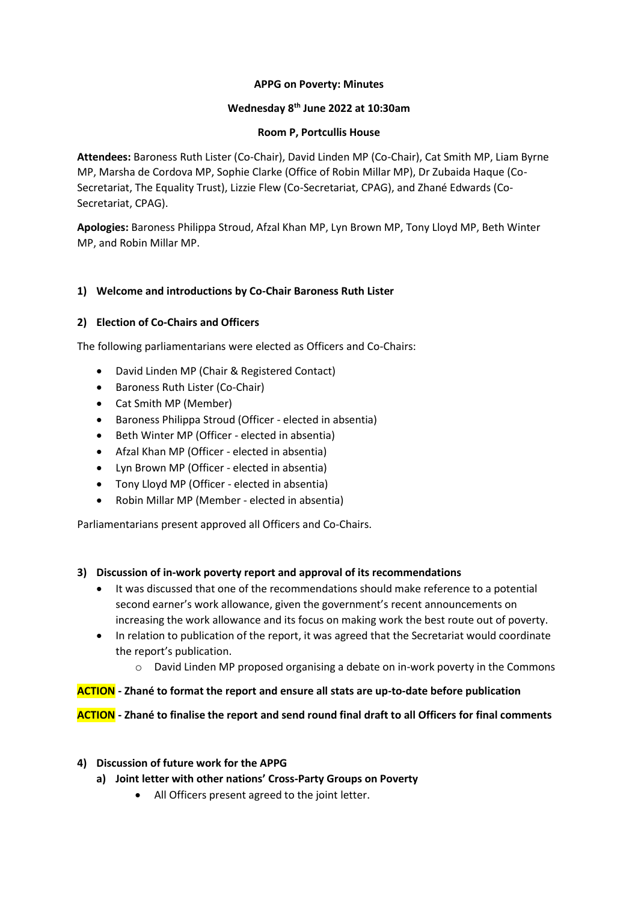#### **APPG on Poverty: Minutes**

## **Wednesday 8th June 2022 at 10:30am**

#### **Room P, Portcullis House**

**Attendees:** Baroness Ruth Lister (Co-Chair), David Linden MP (Co-Chair), Cat Smith MP, Liam Byrne MP, Marsha de Cordova MP, Sophie Clarke (Office of Robin Millar MP), Dr Zubaida Haque (Co-Secretariat, The Equality Trust), Lizzie Flew (Co-Secretariat, CPAG), and Zhané Edwards (Co-Secretariat, CPAG).

**Apologies:** Baroness Philippa Stroud, Afzal Khan MP, Lyn Brown MP, Tony Lloyd MP, Beth Winter MP, and Robin Millar MP.

## **1) Welcome and introductions by Co-Chair Baroness Ruth Lister**

#### **2) Election of Co-Chairs and Officers**

The following parliamentarians were elected as Officers and Co-Chairs:

- David Linden MP (Chair & Registered Contact)
- Baroness Ruth Lister (Co-Chair)
- Cat Smith MP (Member)
- Baroness Philippa Stroud (Officer elected in absentia)
- Beth Winter MP (Officer elected in absentia)
- Afzal Khan MP (Officer elected in absentia)
- Lyn Brown MP (Officer elected in absentia)
- Tony Lloyd MP (Officer elected in absentia)
- Robin Millar MP (Member elected in absentia)

Parliamentarians present approved all Officers and Co-Chairs.

#### **3) Discussion of in-work poverty report and approval of its recommendations**

- It was discussed that one of the recommendations should make reference to a potential second earner's work allowance, given the government's recent announcements on increasing the work allowance and its focus on making work the best route out of poverty.
- In relation to publication of the report, it was agreed that the Secretariat would coordinate the report's publication.
	- $\circ$  David Linden MP proposed organising a debate on in-work poverty in the Commons

## **ACTION - Zhané to format the report and ensure all stats are up-to-date before publication**

**ACTION - Zhané to finalise the report and send round final draft to all Officers for final comments** 

#### **4) Discussion of future work for the APPG**

- **a) Joint letter with other nations' Cross-Party Groups on Poverty** 
	- All Officers present agreed to the joint letter.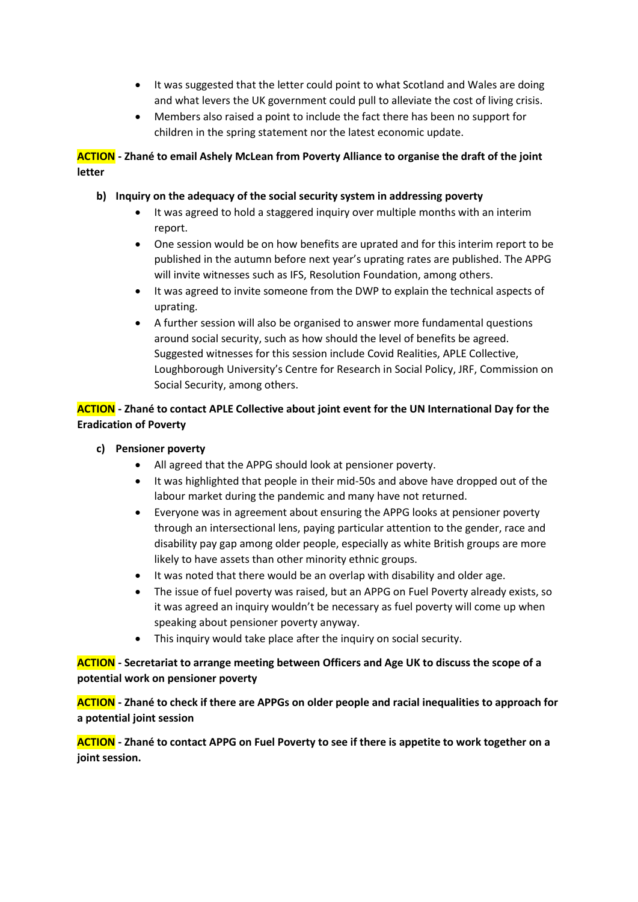- It was suggested that the letter could point to what Scotland and Wales are doing and what levers the UK government could pull to alleviate the cost of living crisis.
- Members also raised a point to include the fact there has been no support for children in the spring statement nor the latest economic update.

# **ACTION - Zhané to email Ashely McLean from Poverty Alliance to organise the draft of the joint letter**

# **b) Inquiry on the adequacy of the social security system in addressing poverty**

- It was agreed to hold a staggered inquiry over multiple months with an interim report.
- One session would be on how benefits are uprated and for this interim report to be published in the autumn before next year's uprating rates are published. The APPG will invite witnesses such as IFS, Resolution Foundation, among others.
- It was agreed to invite someone from the DWP to explain the technical aspects of uprating.
- A further session will also be organised to answer more fundamental questions around social security, such as how should the level of benefits be agreed. Suggested witnesses for this session include Covid Realities, APLE Collective, Loughborough University's Centre for Research in Social Policy, JRF, Commission on Social Security, among others.

# **ACTION - Zhané to contact APLE Collective about joint event for the UN International Day for the Eradication of Poverty**

## **c) Pensioner poverty**

- All agreed that the APPG should look at pensioner poverty.
- It was highlighted that people in their mid-50s and above have dropped out of the labour market during the pandemic and many have not returned.
- Everyone was in agreement about ensuring the APPG looks at pensioner poverty through an intersectional lens, paying particular attention to the gender, race and disability pay gap among older people, especially as white British groups are more likely to have assets than other minority ethnic groups.
- It was noted that there would be an overlap with disability and older age.
- The issue of fuel poverty was raised, but an APPG on Fuel Poverty already exists, so it was agreed an inquiry wouldn't be necessary as fuel poverty will come up when speaking about pensioner poverty anyway.
- This inquiry would take place after the inquiry on social security.

# **ACTION - Secretariat to arrange meeting between Officers and Age UK to discuss the scope of a potential work on pensioner poverty**

**ACTION - Zhané to check if there are APPGs on older people and racial inequalities to approach for a potential joint session** 

**ACTION - Zhané to contact APPG on Fuel Poverty to see if there is appetite to work together on a joint session.**